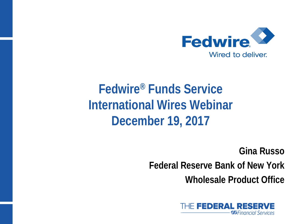

# **Fedwire® Funds Service International Wires Webinar December 19, 2017**

**Gina Russo Federal Reserve Bank of New York Wholesale Product Office**

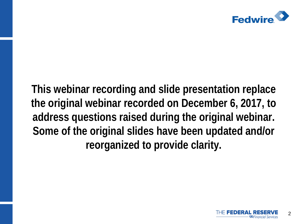

**This webinar recording and slide presentation replace the original webinar recorded on December 6, 2017, to address questions raised during the original webinar. Some of the original slides have been updated and/or reorganized to provide clarity.**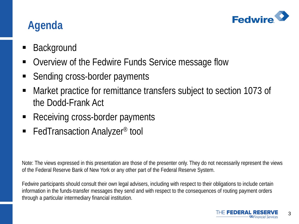

#### **Agenda**

- Background
- Overview of the Fedwire Funds Service message flow
- Sending cross-border payments
- Market practice for remittance transfers subject to section 1073 of the Dodd-Frank Act
- Receiving cross-border payments
- FedTransaction Analyzer<sup>®</sup> tool

Note: The views expressed in this presentation are those of the presenter only. They do not necessarily represent the views of the Federal Reserve Bank of New York or any other part of the Federal Reserve System.

Fedwire participants should consult their own legal advisers, including with respect to their obligations to include certain information in the funds-transfer messages they send and with respect to the consequences of routing payment orders through a particular intermediary financial institution.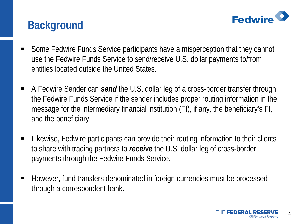

#### **Background**

- Some Fedwire Funds Service participants have a misperception that they cannot use the Fedwire Funds Service to send/receive U.S. dollar payments to/from entities located outside the United States.
- A Fedwire Sender can *send* the U.S. dollar leg of a cross-border transfer through the Fedwire Funds Service if the sender includes proper routing information in the message for the intermediary financial institution (FI), if any, the beneficiary's FI, and the beneficiary.
- Likewise, Fedwire participants can provide their routing information to their clients to share with trading partners to *receive* the U.S. dollar leg of cross-border payments through the Fedwire Funds Service.
- However, fund transfers denominated in foreign currencies must be processed through a correspondent bank.

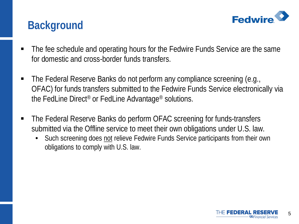

#### **Background**

- The fee schedule and operating hours for the Fedwire Funds Service are the same for domestic and cross-border funds transfers.
- The Federal Reserve Banks do not perform any compliance screening (e.g., OFAC) for funds transfers submitted to the Fedwire Funds Service electronically via the FedLine Direct® or FedLine Advantage® solutions.
- The Federal Reserve Banks do perform OFAC screening for funds-transfers submitted via the Offline service to meet their own obligations under U.S. law.
	- Such screening does not relieve Fedwire Funds Service participants from their own obligations to comply with U.S. law.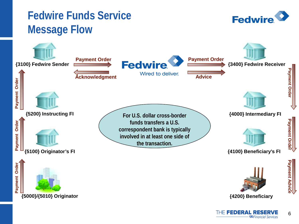#### **Fedwire Funds Service Message Flow**



**Fedwire**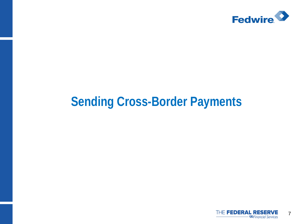

### **Sending Cross-Border Payments**

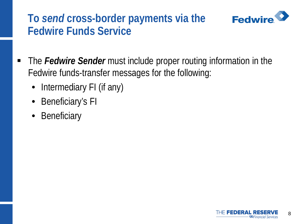#### **Fedwire To** *send* **cross-border payments via the Fedwire Funds Service**



- Intermediary FI (if any)
- Beneficiary's FI
- Beneficiary

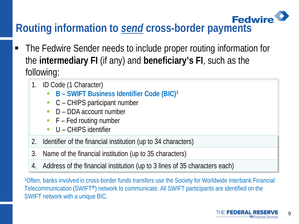# **Routing information to** *send* **cross-border payments**

- The Fedwire Sender needs to include proper routing information for the **intermediary FI** (if any) and **beneficiary's FI**, such as the following:
	- 1. ID Code (1 Character)
		- **B – SWIFT Business Identifier Code (BIC)1**
		- C CHIPS participant number
		- D DDA account number
		- $\blacksquare$  F Fed routing number
		- U CHIPS identifier
	- 2. Identifier of the financial institution (up to 34 characters)
	- 3. Name of the financial institution (up to 35 characters)
	- 4. Address of the financial institution (up to 3 lines of 35 characters each)

1Often, banks involved in cross-border funds transfers use the Society for Worldwide Interbank Financial Telecommunication (SWIFT**®**) network to communicate. All SWIFT participants are identified on the SWIFT network with a unique BIC.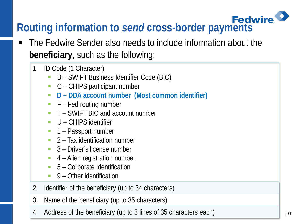# **Routing information to** *send* **cross-border payments**

- The Fedwire Sender also needs to include information about the **beneficiary**, such as the following:
	- 1. ID Code (1 Character)
		- B SWIFT Business Identifier Code (BIC)
		- C CHIPS participant number
		- **D – DDA account number (Most common identifier)**
		- $\blacksquare$  F Fed routing number
		- T SWIFT BIC and account number
		- **U** CHIPS identifier
		- 1 Passport number
		- $\blacksquare$  2 Tax identification number
		- 3 Driver's license number
		- 4 Alien registration number
		- 5 Corporate identification
		- 9 Other identification
	- 2. Identifier of the beneficiary (up to 34 characters)
	- 3. Name of the beneficiary (up to 35 characters)
	- 4. Address of the beneficiary (up to 3 lines of 35 characters each)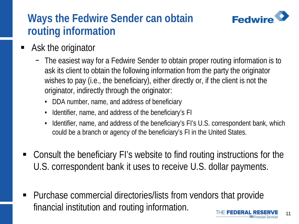## **Fedwire**

#### **Ways the Fedwire Sender can obtain routing information**

- **Ask the originator** 
	- − The easiest way for a Fedwire Sender to obtain proper routing information is to ask its client to obtain the following information from the party the originator wishes to pay (i.e., the beneficiary), either directly or, if the client is not the originator, indirectly through the originator:
		- DDA number, name, and address of beneficiary
		- Identifier, name, and address of the beneficiary's FI
		- Identifier, name, and address of the beneficiary's FI's U.S. correspondent bank, which could be a branch or agency of the beneficiary's FI in the United States.
- Consult the beneficiary FI's website to find routing instructions for the U.S. correspondent bank it uses to receive U.S. dollar payments.
- Purchase commercial directories/lists from vendors that provide financial institution and routing information.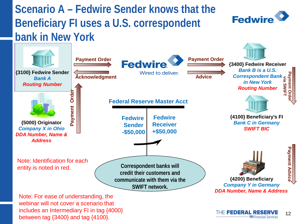#### **Scenario A – Fedwire Sender knows that the Beneficiary FI uses a U.S. correspondent bank in New York**



webinar will not cover a scenario that includes an Intermediary FI in tag {4000} between tag {3400} and tag {4100}.

**Fedwire**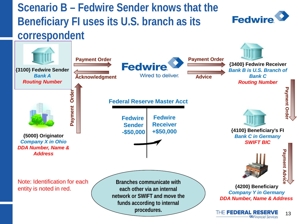**Scenario B – Fedwire Sender knows that the Beneficiary FI uses its U.S. branch as its correspondent**





**SGFinancial Services**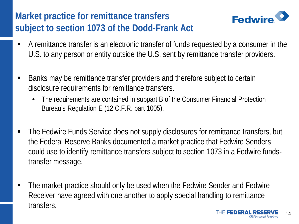#### **Market practice for remittance transfers subject to section 1073 of the Dodd-Frank Act**



- A remittance transfer is an electronic transfer of funds requested by a consumer in the U.S. to any person or entity outside the U.S. sent by remittance transfer providers.
- Banks may be remittance transfer providers and therefore subject to certain disclosure requirements for remittance transfers.
	- The requirements are contained in subpart B of the Consumer Financial Protection Bureau's Regulation E (12 C.F.R. part 1005).
- The Fedwire Funds Service does not supply disclosures for remittance transfers, but the Federal Reserve Banks documented a market practice that Fedwire Senders could use to identify remittance transfers subject to section 1073 in a Fedwire fundstransfer message.
- The market practice should only be used when the Fedwire Sender and Fedwire Receiver have agreed with one another to apply special handling to remittance transfers.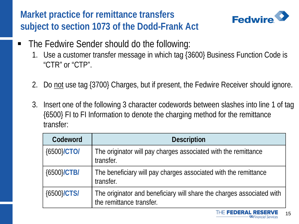#### **Market practice for remittance transfers subject to section 1073 of the Dodd-Frank Act**



- The Fedwire Sender should do the following:
	- 1. Use a customer transfer message in which tag {3600} Business Function Code is "CTR" or "CTP".
	- 2. Do not use tag {3700} Charges, but if present, the Fedwire Receiver should ignore.
	- 3. Insert one of the following 3 character codewords between slashes into line 1 of tag {6500} FI to FI Information to denote the charging method for the remittance transfer:

| Codeword       | <b>Description</b>                                                                                |
|----------------|---------------------------------------------------------------------------------------------------|
| {6500}/CTO/    | The originator will pay charges associated with the remittance<br>transfer.                       |
| ${6500}$ /CTB/ | The beneficiary will pay charges associated with the remittance<br>transfer.                      |
| ${6500}$ CTS   | The originator and beneficiary will share the charges associated with<br>the remittance transfer. |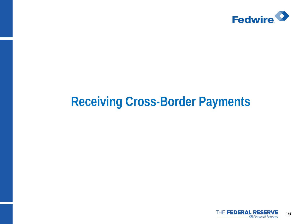

## **Receiving Cross-Border Payments**

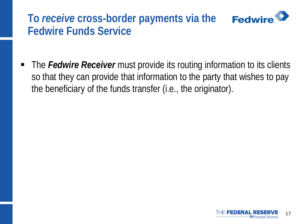#### **Fedwire To** *receive* **cross-border payments via the Fedwire Funds Service**

■ The *Fedwire Receiver* must provide its routing information to its clients so that they can provide that information to the party that wishes to pay the beneficiary of the funds transfer (i.e., the originator).

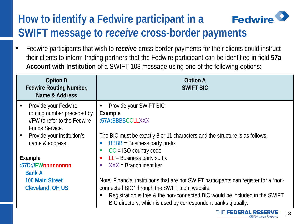#### **Fedwire How to identify a Fedwire participant in a SWIFT message to** *receive* **cross-border payments**

 Fedwire participants that wish to *receive* cross-border payments for their clients could instruct their clients to inform trading partners that the Fedwire participant can be identified in field **57a Account with Institution** of a SWIFT 103 message using one of the following options:

| <b>Option D</b><br><b>Fedwire Routing Number,</b><br>Name & Address | <b>Option A</b><br><b>SWIFT BIC</b>                                                   |
|---------------------------------------------------------------------|---------------------------------------------------------------------------------------|
| Provide your Fedwire<br>Ξ                                           | Provide your SWIFT BIC<br>Е                                                           |
| routing number preceded by                                          | Example                                                                               |
| //FW to refer to the Fedwire                                        | :57A:BBBBCCLLXXX                                                                      |
| <b>Funds Service.</b>                                               |                                                                                       |
| Provide your institution's                                          | The BIC must be exactly 8 or 11 characters and the structure is as follows:           |
| name & address.                                                     | $BBBB = Business$ party prefix                                                        |
|                                                                     | $CC = ISO$ country code<br>Г                                                          |
| Example                                                             | $LL =$ Business party suffix<br>п                                                     |
| :57D://FWnnnnnnnnn                                                  | $XXX = Branch$ identifier<br>п                                                        |
| <b>Bank A</b>                                                       |                                                                                       |
| <b>100 Main Street</b>                                              | Note: Financial institutions that are not SWIFT participants can register for a "non- |
| <b>Cleveland, OH US</b>                                             | connected BIC" through the SWIFT.com website.                                         |
|                                                                     | Registration is free & the non-connected BIC would be included in the SWIFT           |
|                                                                     | BIC directory, which is used by correspondent banks globally.                         |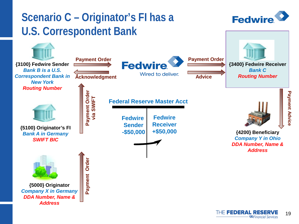

THE FEDERAL RESERVE 19 **SGFinancial Services**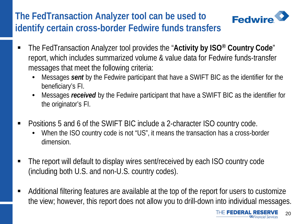#### **The FedTransaction Analyzer tool can be used to identify certain cross-border Fedwire funds transfers**



- The FedTransaction Analyzer tool provides the "**Activity by ISO® Country Code**" report, which includes summarized volume & value data for Fedwire funds-transfer messages that meet the following criteria:
	- Messages *sent* by the Fedwire participant that have a SWIFT BIC as the identifier for the beneficiary's FI.
	- Messages *received* by the Fedwire participant that have a SWIFT BIC as the identifier for the originator's FI.
- Positions 5 and 6 of the SWIFT BIC include a 2-character ISO country code.
	- When the ISO country code is not "US", it means the transaction has a cross-border dimension.
- The report will default to display wires sent/received by each ISO country code (including both U.S. and non-U.S. country codes).
- Additional filtering features are available at the top of the report for users to customize the view; however, this report does not allow you to drill-down into individual messages.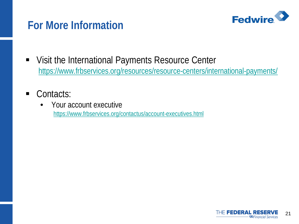

#### **For More Information**

- Visit the International Payments Resource Center <https://www.frbservices.org/resources/resource-centers/international-payments/>
- Contacts:
	- Your account executive <https://www.frbservices.org/contactus/account-executives.html>